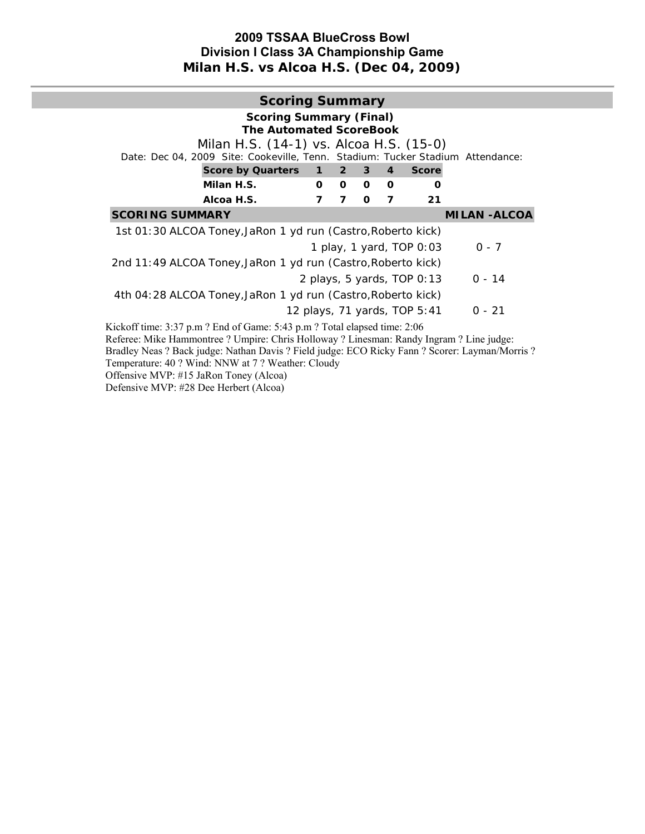## **2009 TSSAA BlueCross Bowl Division I Class 3A Championship Game Milan H.S. vs Alcoa H.S. (Dec 04, 2009)**

|                                                                                                                                                                                                                                                                                             | <b>Scoring Summary</b>                                           |                |                |                         |                            |                     |
|---------------------------------------------------------------------------------------------------------------------------------------------------------------------------------------------------------------------------------------------------------------------------------------------|------------------------------------------------------------------|----------------|----------------|-------------------------|----------------------------|---------------------|
| Milan H.S. (14-1) vs. Alcoa H.S. (15-0)<br>Date: Dec 04, 2009 Site: Cookeville, Tenn. Stadium: Tucker Stadium Attendance:<br>Score by Quarters 1 2                                                                                                                                          | <b>Scoring Summary (Final)</b><br><b>The Automated ScoreBook</b> |                | 3 <sup>1</sup> | $\overline{\mathbf{4}}$ | <b>Score</b>               |                     |
| Milan H.S.                                                                                                                                                                                                                                                                                  | 0                                                                | 0              | $\Omega$       | $\Omega$                | Ω                          |                     |
| Alcoa H.S.                                                                                                                                                                                                                                                                                  | 7                                                                | $\overline{ }$ | $\Omega$       | 7                       | 21                         |                     |
| <b>SCORING SUMMARY</b>                                                                                                                                                                                                                                                                      |                                                                  |                |                |                         |                            | <b>MILAN -ALCOA</b> |
| 1st 01:30 ALCOA Toney, JaRon 1 yd run (Castro, Roberto kick)                                                                                                                                                                                                                                |                                                                  |                |                |                         |                            |                     |
|                                                                                                                                                                                                                                                                                             |                                                                  |                |                |                         | 1 play, 1 yard, TOP 0:03   | $0 - 7$             |
| 2nd 11:49 ALCOA Toney, JaRon 1 yd run (Castro, Roberto kick)                                                                                                                                                                                                                                |                                                                  |                |                |                         |                            |                     |
|                                                                                                                                                                                                                                                                                             |                                                                  |                |                |                         | 2 plays, 5 yards, TOP 0:13 | $0 - 14$            |
| 4th 04:28 ALCOA Toney, JaRon 1 yd run (Castro, Roberto kick)                                                                                                                                                                                                                                |                                                                  |                |                |                         |                            |                     |
|                                                                                                                                                                                                                                                                                             | 12 plays, 71 yards, TOP 5:41                                     |                |                |                         |                            | $0 - 21$            |
| Kickoff time: 3:37 p.m ? End of Game: 5:43 p.m ? Total elapsed time: 2:06                                                                                                                                                                                                                   |                                                                  |                |                |                         |                            |                     |
| Referee: Mike Hammontree ? Umpire: Chris Holloway ? Linesman: Randy Ingram ? Line judge:<br>Bradley Neas ? Back judge: Nathan Davis ? Field judge: ECO Ricky Fann ? Scorer: Layman/Morris ?<br>Temperature: 40 ? Wind: NNW at 7 ? Weather: Cloudy<br>Offensive MVP: #15 JaRon Toney (Alcoa) |                                                                  |                |                |                         |                            |                     |

Defensive MVP: #28 Dee Herbert (Alcoa)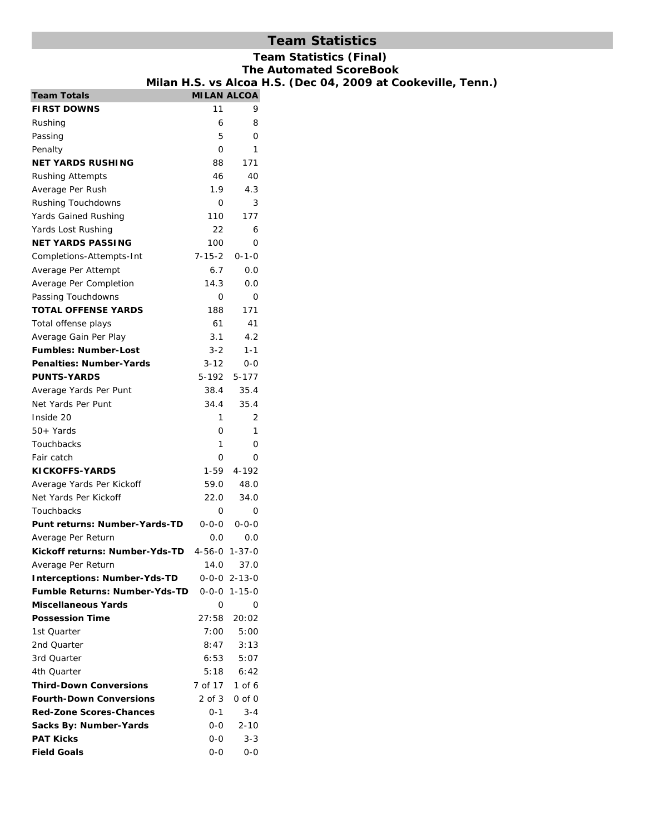## **Team Statistics**

# **Team Statistics (Final)**

**The Automated ScoreBook**  (Dec 04, 2009 at Cookeville, Tenn.)

|                                              | Milan H.S. vs Alcoa H.S. |                        |  |
|----------------------------------------------|--------------------------|------------------------|--|
| <b>Team Totals</b>                           |                          | <b>MILAN ALCOA</b>     |  |
| <b>FIRST DOWNS</b>                           | 11                       | 9                      |  |
| Rushing                                      | 6                        | 8                      |  |
| Passing                                      | 5                        | O                      |  |
| Penalty                                      | 0                        | 1                      |  |
| NET YARDS RUSHING                            | 88                       | 171                    |  |
| Rushing Attempts                             | 46                       | 40                     |  |
| Average Per Rush                             | 1.9                      | 4.3                    |  |
| <b>Rushing Touchdowns</b>                    | 0                        | 3                      |  |
| Yards Gained Rushing                         | 110                      | 177                    |  |
| Yards Lost Rushing                           | 22                       | 6                      |  |
| NET YARDS PASSING                            | 100                      | O                      |  |
| Completions-Attempts-Int                     | $7 - 15 - 2$             | $0 - 1 - 0$            |  |
| Average Per Attempt                          | 6.7                      | 0.0                    |  |
| Average Per Completion                       | 14.3                     | 0.0                    |  |
| Passing Touchdowns                           | 0                        | 0                      |  |
| <b>TOTAL OFFENSE YARDS</b>                   | 188                      | 171                    |  |
| Total offense plays                          | 61                       | 41                     |  |
| Average Gain Per Play                        | 3.1                      | 4.2                    |  |
| <b>Fumbles: Number-Lost</b>                  | $3 - 2$                  | $1 - 1$                |  |
| <b>Penalties: Number-Yards</b>               | 3-12                     | $0 - 0$                |  |
| <b>PUNTS-YARDS</b>                           | 5-192                    | 5-177                  |  |
| Average Yards Per Punt                       | 38.4                     | 35.4                   |  |
| Net Yards Per Punt                           | 34.4                     | 35.4                   |  |
| Inside 20                                    | 1                        | 2                      |  |
| 50+ Yards                                    | 0                        | 1                      |  |
| Touchbacks                                   | 1                        | 0                      |  |
| Fair catch                                   | 0                        | O                      |  |
| <b>KICKOFFS-YARDS</b>                        | 1-59                     | $4 - 192$              |  |
| Average Yards Per Kickoff                    | 59.0                     | 48.0                   |  |
| Net Yards Per Kickoff                        | 22.0                     | 34.0                   |  |
| Touchbacks                                   | 0                        | 0                      |  |
| Punt returns: Number-Yards-TD                | $0 - 0 - 0$              | $0 - 0 - 0$            |  |
| Average Per Return                           | 0.0                      | 0.0                    |  |
| Kickoff returns: Number-Yds-TD 4-56-0 1-37-0 |                          |                        |  |
| Average Per Return                           | 14.0                     | 37.0                   |  |
| <b>Interceptions: Number-Yds-TD</b>          |                          | $0 - 0 - 0$ 2-13-0     |  |
| Fumble Returns: Number-Yds-TD                |                          | $0 - 0 - 0 1 - 15 - 0$ |  |
| Miscellaneous Yards                          | 0                        | 0                      |  |
| <b>Possession Time</b>                       | 27:58                    | 20:02                  |  |
| 1st Quarter                                  | 7:00                     | 5:00                   |  |
| 2nd Quarter                                  | 8:47                     | 3:13                   |  |
| 3rd Quarter                                  | 6:53                     | 5:07                   |  |
| 4th Quarter                                  | 5:18                     | 6:42                   |  |
| <b>Third-Down Conversions</b>                | 7 of 17                  | 1 of 6                 |  |
| <b>Fourth-Down Conversions</b>               | 2 of 3                   | $0$ of $0$             |  |
| <b>Red-Zone Scores-Chances</b>               | 0-1                      | $3 - 4$                |  |
| Sacks By: Number-Yards                       | 0-0                      | 2-10                   |  |
| <b>PAT Kicks</b>                             | 0-0                      | $3 - 3$                |  |
| <b>Field Goals</b>                           | 0-0                      | $0-0$                  |  |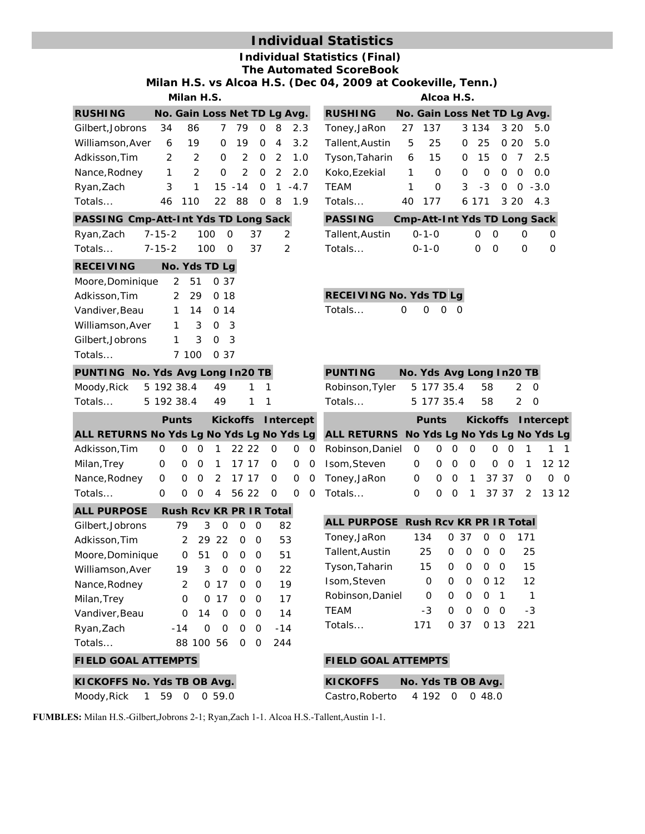# **Individual Statistics**

**Individual Statistics (Final) The Automated ScoreBook** 

**Milan H.S. vs Alcoa H.S. (Dec 04, 2009 at Cookeville, Tenn.)**

| <b>RUSHING</b>     |              | No. Gain Loss Net TD Lg Avg. |   |       |   |   |                       |
|--------------------|--------------|------------------------------|---|-------|---|---|-----------------------|
| Gilbert.Jobrons 34 |              | 86                           |   | 779   | 0 |   | 8 2.3                 |
| Williamson, Aver   |              | 19<br>6                      | 0 | - 19  |   |   | $0 \quad 4 \quad 3.2$ |
| Adkisson, Tim      | 2            | $\mathcal{P}$                |   |       |   |   | 0 2 0 2 1.0           |
| Nance, Rodney      | $\mathbf{1}$ | $\mathcal{P}$                |   |       |   |   | 0 2 0 2 2.0           |
| Ryan, Zach         | 3            |                              |   |       |   |   | $15 - 14$ 0 1 $-4.7$  |
| Totals             | 46.          | 110                          |   | 22 88 | 0 | 8 | 1.9                   |

## **PASSING Cmp-Att-Int Yds TD Long Sack**

| <b>RECEIVING</b> |              | No. Yds TD Lg |      |               |
|------------------|--------------|---------------|------|---------------|
| Totals           | 7-15-2 100 0 |               | - 37 | - 2           |
| Ryan, Zach       | 7-15-2       | 100 0         | - 37 | $\mathcal{L}$ |

| Moore, Dominique |              |               | 2 51 0 37      |
|------------------|--------------|---------------|----------------|
| Adkisson, Tim    |              |               | 2 29 0 18      |
| Vandiver, Beau   |              |               | $1 \t14 \t014$ |
| Williamson, Aver | $\mathbf{1}$ | $\mathcal{S}$ | O.<br>3        |
| Gilbert, Jobrons | $\mathbf{1}$ | $\mathcal{R}$ | 0 3            |
| Totals           |              |               | 7 100 0 37     |

#### **PUNTING No. Yds Avg Long In20 TB**

|         | Moody,Rick 5 192 38.4 49 |  |  |
|---------|--------------------------|--|--|
| Totals… | 5 192 38.4 49            |  |  |

|                                           |          |  | <b>Punts</b> Kickoffs Intercept |  |  |
|-------------------------------------------|----------|--|---------------------------------|--|--|
| ALL RETURNS No Yds Lg No Yds Lg No Yds Lg |          |  |                                 |  |  |
| Adkisson, Tim 0 0 0 1 22 22 0 0 0         |          |  |                                 |  |  |
| Milan,Trey                                |          |  | 0 0 0 1 17 17 0 0 0             |  |  |
| Nance, Rodney 0 0 0 2 17 17 0 0 0         |          |  |                                 |  |  |
| Totals                                    | $\Omega$ |  | 0 0 4 56 22 0 0 0               |  |  |
| ALL PURPOSE Rush Rev KR PR IR Total       |          |  |                                 |  |  |

| ALL FUNFUJL      | RUSILRUV RR FR IR TULAI |           |          |          |          |       |  |
|------------------|-------------------------|-----------|----------|----------|----------|-------|--|
| Gilbert, Jobrons | 79                      | 3         | 0        | O        | Ω        | 82    |  |
| Adkisson, Tim    | $\mathcal{P}$           |           | 29 22    | $\Omega$ | O        | 53    |  |
| Moore, Dominique | O                       | 51        | $\Omega$ | O        | 0        | 51    |  |
| Williamson, Aver | 19                      | 3         | $\Omega$ | O        | O        | 22    |  |
| Nance, Rodney    | $\mathcal{P}$           |           | 0.17     | O        | O        | 19    |  |
| Milan, Trey      | 0                       |           | 0.17     | 0        | O        | 17    |  |
| Vandiver, Beau   | O                       | 14        | $\Omega$ | O        | $\Omega$ | 14    |  |
| Ryan, Zach       | $-14$                   | O         | O        | O        | O        | $-14$ |  |
| Totals           |                         | 88 100 56 |          | O        | O        | 244   |  |
|                  |                         |           |          |          |          |       |  |

| KICKOFFS No. Yds TB OB Avg. |  |  |
|-----------------------------|--|--|
| Moody, Rick 1 59 0 0 59.0   |  |  |

**Milan H.S. Alcoa H.S.**

| <b>RUSHING</b>                |                |          | No. Gain Loss Net TD Lg Avg. |               |                   |                                     |
|-------------------------------|----------------|----------|------------------------------|---------------|-------------------|-------------------------------------|
| Toney,JaRon 27 137            |                |          |                              | 3 1 3 4 3 2 0 |                   | 5.0                                 |
| Tallent,Austin 5              |                | 25       |                              | 0 25 0 20     |                   | 5.0                                 |
| Tyson, Taharin 6 15           |                |          |                              |               |                   | $0$ 15 0 7 2.5                      |
| Koko,Ezekial                  | $\overline{1}$ | $\Omega$ |                              | $\Omega$      | $0\quad 0\quad 0$ | 0.0                                 |
| TEAM                          | 1              | $\Omega$ |                              |               |                   | $3 - 3 0 0 - 3.0$                   |
| Totals…                       |                | 40 177   |                              |               |                   | 6 171 3 20 4.3                      |
| <b>PASSING</b>                |                |          |                              |               |                   | <b>Cmp-Att-Int Yds TD Long Sack</b> |
| $Tallont$ Austin $0.10$ $0.0$ |                |          |                              |               | <sup>n</sup>      | $\cap$                              |

| Tallent,Austin | $O - 1 - O$ | n n               | - 0       | - റ |
|----------------|-------------|-------------------|-----------|-----|
| Totals…        | $0 - 1 - 0$ | $\Omega$ $\Omega$ | $\bigcap$ | - ೧ |

| <b>RECEIVING No. Yds TD Lg</b> |                     |  |
|--------------------------------|---------------------|--|
| Totals                         | $0 \quad 0 \quad 0$ |  |

| <b>PUNTING</b>                |  | No. Yds Avg Long In20 TB |     |
|-------------------------------|--|--------------------------|-----|
| Robinson, Tyler 5 177 35.4 58 |  |                          | 2 O |
| Totals                        |  | 5 177 35.4 58            | 2 O |

|                                           |          |  |  | Punts Kickoffs Intercept |  |
|-------------------------------------------|----------|--|--|--------------------------|--|
| ALL RETURNS No Yds Lg No Yds Lg No Yds Lg |          |  |  |                          |  |
| Robinson, Daniel 0 0 0 0 0 0 1 1 1        |          |  |  |                          |  |
| Isom, Steven                              |          |  |  | 0 0 0 0 0 0 1 12 12      |  |
| Toney, JaRon                              | $\Omega$ |  |  | 0 0 1 37 37 0 0 0        |  |
| Totals                                    |          |  |  | 0 0 1 37 37 2 13 12      |  |

| ALL PURPOSE Rush Rcv KR PR IR Total |     |   |      |          |                          |                   |
|-------------------------------------|-----|---|------|----------|--------------------------|-------------------|
| Toney, JaRon                        | 134 |   | 0.37 | O        | Ω                        | 171               |
| Tallent, Austin                     | 25  | 0 | 0    | O        | O                        | 25                |
| Tyson, Taharin                      | 15  | O | O    | O        | O                        | 15                |
| Isom, Steven                        | O   | ∩ | 0    |          | O 12                     | $12 \overline{ }$ |
| Robinson, Daniel                    | 0   | ∩ | 0    | $\Omega$ | $\overline{\phantom{1}}$ | $\mathbf{1}$      |
| <b>TEAM</b>                         | -3  | O | O    | 0        | - റ                      | -3                |
| Totals                              | 171 |   | 0.37 |          | 0.13                     | 221               |

### **FIELD GOAL ATTEMPTS FIELD GOAL ATTEMPTS**

| <b>KICKOFFS</b> |  |  | No. Yds TB OB Ava. |
|-----------------|--|--|--------------------|
| Castro, Roberto |  |  | 4 192 0 0 48.0     |

**FUMBLES:** Milan H.S.-Gilbert,Jobrons 2-1; Ryan,Zach 1-1. Alcoa H.S.-Tallent,Austin 1-1.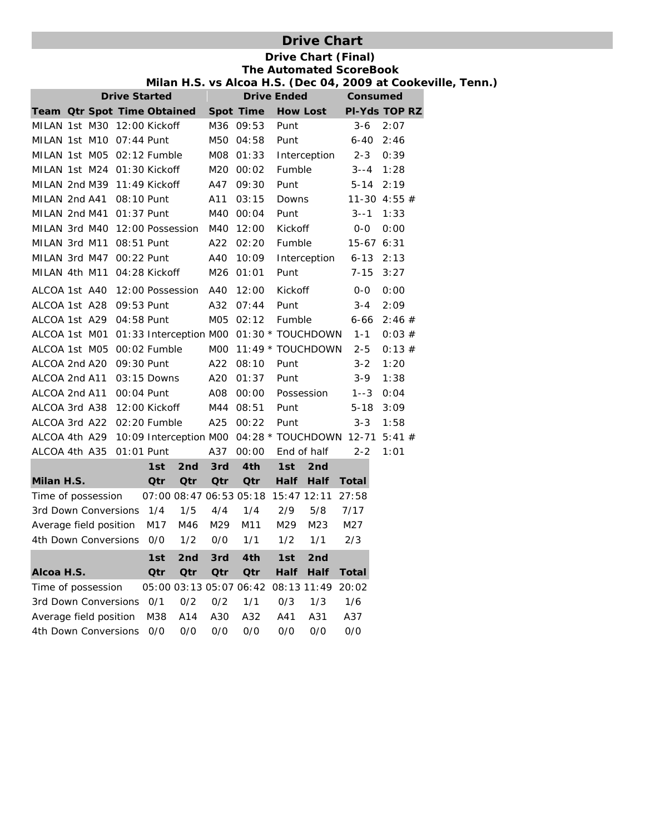## **Drive Chart**

### **Drive Chart (Final) The Automated ScoreBook Milan H.S. vs Alcoa H.S. (Dec 04, 2009 at Cookeville, Tenn.)**

|                                          |  |  | <b>Drive Started</b> |             |            |                         | <b>Drive Ended</b>                                     |                 |              | <b>Consumed</b>                                                     |  |
|------------------------------------------|--|--|----------------------|-------------|------------|-------------------------|--------------------------------------------------------|-----------------|--------------|---------------------------------------------------------------------|--|
| Team Otr Spot Time Obtained              |  |  |                      |             |            | Spot Time               |                                                        | <b>How Lost</b> |              | PI-Yds TOP RZ                                                       |  |
| MILAN 1st M30 12:00 Kickoff              |  |  |                      |             |            | M36 09:53               | Punt                                                   |                 | $3 - 6$      | 2:07                                                                |  |
| MILAN 1st M10 07:44 Punt                 |  |  |                      |             |            | M50 04:58               | Punt                                                   |                 | $6 - 40$     | 2:46                                                                |  |
| MILAN 1st M05 02:12 Fumble               |  |  |                      |             |            | M08 01:33               |                                                        | Interception    | $2 - 3$      | 0:39                                                                |  |
| MILAN 1st M24 01:30 Kickoff              |  |  |                      |             |            | M20 00:02               | Fumble                                                 |                 |              | $3 - -4$ 1:28                                                       |  |
| MILAN 2nd M39 11:49 Kickoff              |  |  |                      |             |            | A47 09:30               | Punt                                                   |                 | $5 - 14$     | 2:19                                                                |  |
| MILAN 2nd A41 08:10 Punt                 |  |  |                      |             | A11        | 03:15                   | Downs                                                  |                 |              | 11-30 4:55 $#$                                                      |  |
| MILAN 2nd M41 01:37 Punt                 |  |  |                      |             |            | M40 00:04               | Punt                                                   |                 | $3 - -1$     | 1:33                                                                |  |
| MILAN 3rd M40 12:00 Possession M40 12:00 |  |  |                      |             |            |                         | Kickoff                                                |                 | $0 - 0$      | 0:00                                                                |  |
| MILAN 3rd M11 08:51 Punt                 |  |  |                      |             | A22        | 02:20                   | Fumble                                                 |                 |              | $15-67$ 6:31                                                        |  |
| MILAN 3rd M47 00:22 Punt                 |  |  |                      |             |            | A40 10:09               |                                                        | Interception    |              | $6-13$ $2:13$                                                       |  |
| MILAN 4th M11 04:28 Kickoff              |  |  |                      |             |            | M26 01:01               | Punt                                                   |                 | $7 - 15$     | 3:27                                                                |  |
| ALCOA 1st A40 12:00 Possession A40       |  |  |                      |             |            | 12:00                   | Kickoff                                                |                 | $0 - 0$      | 0:00                                                                |  |
| ALCOA 1st A28 09:53 Punt                 |  |  |                      |             | A32        | 07:44                   | Punt                                                   |                 | $3 - 4$      | 2:09                                                                |  |
| ALCOA 1st A29                            |  |  | 04:58 Punt           |             |            | M05 02:12               | Fumble                                                 |                 | $6 - 66$     | 2:46#                                                               |  |
|                                          |  |  |                      |             |            |                         | ALCOA 1st M01 01:33 Interception M00 01:30 * TOUCHDOWN |                 | $1 - 1$      | 0:03#                                                               |  |
| ALCOA 1st M05 00:02 Fumble               |  |  |                      |             |            |                         | M00 11:49 * TOUCHDOWN                                  |                 | $2 - 5$      | 0:13#                                                               |  |
| ALCOA 2nd A20 09:30 Punt                 |  |  |                      |             | A22        | 08:10                   | Punt                                                   |                 | $3 - 2$      | 1:20                                                                |  |
| ALCOA 2nd A11 03:15 Downs                |  |  |                      |             |            | A20 01:37               | Punt                                                   |                 | $3 - 9$      | 1:38                                                                |  |
| ALCOA 2nd A11 00:04 Punt                 |  |  |                      |             | A08        | 00:00                   |                                                        | Possession      | $1 - 3$      | 0:04                                                                |  |
| ALCOA 3rd A38                            |  |  | 12:00 Kickoff        |             |            | M44 08:51               | Punt                                                   |                 | $5 - 18$     | 3:09                                                                |  |
| ALCOA 3rd A22 02:20 Fumble               |  |  |                      |             |            | A25 00:22               | Punt                                                   |                 | $3 - 3$      | 1:58                                                                |  |
|                                          |  |  |                      |             |            |                         |                                                        |                 |              | ALCOA 4th A29 10:09 Interception M00 04:28 * TOUCHDOWN 12-71 5:41 # |  |
| ALCOA 4th A35                            |  |  | 01:01 Punt           |             | A37        | 00:00                   |                                                        | End of half     | $2 - 2$      | 1:01                                                                |  |
|                                          |  |  | 1st                  | 2nd         | 3rd        | 4th                     | 1st                                                    | 2nd             |              |                                                                     |  |
| Milan H.S.                               |  |  | Qtr                  | <b>Qtr</b>  | Qtr        | Qtr                     | Half                                                   | Half            | Total        |                                                                     |  |
| Time of possession                       |  |  |                      |             |            |                         | 07:00 08:47 06:53 05:18 15:47 12:11                    |                 | 27:58        |                                                                     |  |
| 3rd Down Conversions 1/4                 |  |  |                      | 1/5         | 4/4        | 1/4                     | 2/9                                                    | 5/8             | 7/17         |                                                                     |  |
| Average field position                   |  |  | M17                  | M46         | M29        | M11                     | M29                                                    | M23             | M27          |                                                                     |  |
| 4th Down Conversions                     |  |  | O/O                  | 1/2         | O/O        | 1/1                     | 1/2                                                    | 1/1             | 2/3          |                                                                     |  |
|                                          |  |  | 1st                  | 2nd 3rd 4th |            |                         |                                                        | 1st 2nd         |              |                                                                     |  |
| Alcoa H.S.                               |  |  | Qtr                  | Qtr         | <b>Qtr</b> | Qtr                     | <b>Half</b>                                            | Half            | <b>Total</b> |                                                                     |  |
| Time of possession                       |  |  |                      |             |            | 05:00 03:13 05:07 06:42 | 08:13 11:49                                            |                 | 20:02        |                                                                     |  |
| 3rd Down Conversions                     |  |  | 0/1                  | 0/2         | 0/2        | 1/1                     | 0/3                                                    | 1/3             | 1/6          |                                                                     |  |
| Average field position                   |  |  | M38                  | A14         | A30        | A32                     | A41                                                    | A31             | A37          |                                                                     |  |
| 4th Down Conversions                     |  |  | 0/0                  | 0/0         | 0/0        | 0/0                     | 0/0                                                    | 0/0             | 0/0          |                                                                     |  |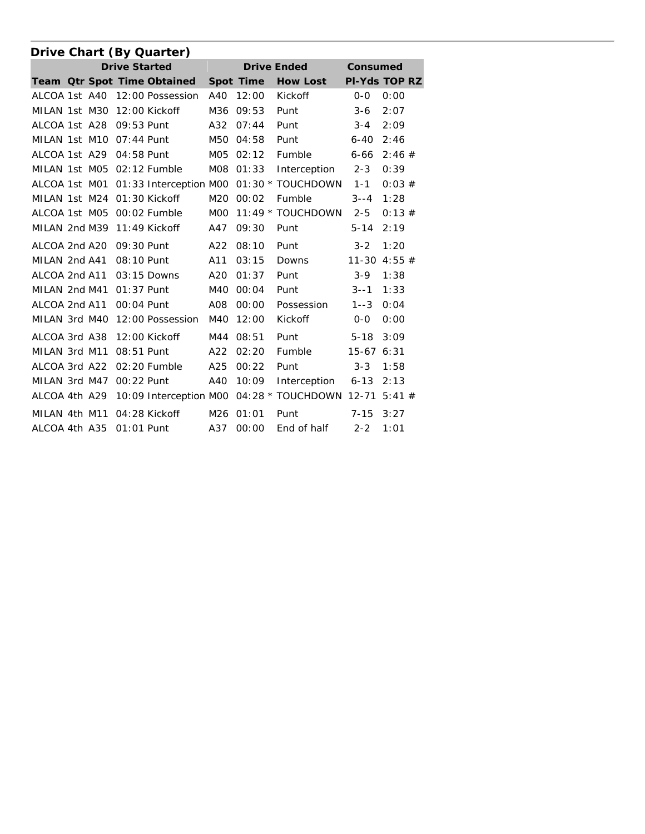|               |  |                      | Drive Chart (By Quarter)    |                  |           |                                          |             |                      |
|---------------|--|----------------------|-----------------------------|------------------|-----------|------------------------------------------|-------------|----------------------|
|               |  | <b>Drive Started</b> |                             |                  |           | <b>Drive Ended</b>                       | Consumed    |                      |
|               |  |                      | Team Qtr Spot Time Obtained |                  | Spot Time | <b>How Lost</b>                          |             | <b>PI-Yds TOP RZ</b> |
| ALCOA 1st A40 |  |                      | 12:00 Possession            | A40              | 12:00     | Kickoff                                  | $0 - 0$     | 0:00                 |
| MILAN 1st M30 |  |                      | 12:00 Kickoff               | M36              | 09:53     | Punt                                     | $3 - 6$     | 2:07                 |
| ALCOA 1st A28 |  | 09:53 Punt           |                             | A32              | 07:44     | Punt                                     | $3 - 4$     | 2:09                 |
| MILAN 1st M10 |  | 07:44 Punt           |                             | M50              | 04:58     | Punt                                     | $6 - 40$    | 2:46                 |
| ALCOA 1st A29 |  | 04:58 Punt           |                             |                  | M05 02:12 | Fumble                                   | $6 - 66$    | 2:46#                |
| MILAN 1st M05 |  |                      | 02:12 Fumble                | MO8              | 01:33     | Interception                             | $2 - 3$     | 0:39                 |
| ALCOA 1st M01 |  |                      |                             |                  |           | 01:33 Interception M00 01:30 * TOUCHDOWN | $1 - 1$     | 0:03#                |
| MILAN 1st M24 |  |                      | 01:30 Kickoff               | M20              | 00:02     | Fumble                                   | $3 - -4$    | 1:28                 |
| ALCOA 1st M05 |  |                      | 00:02 Fumble                | M <sub>O</sub> O |           | 11:49 * TOUCHDOWN                        | $2 - 5$     | 0:13#                |
| MILAN 2nd M39 |  |                      | 11:49 Kickoff               | A47              | 09:30     | Punt                                     | $5 - 14$    | 2:19                 |
| ALCOA 2nd A20 |  | 09:30 Punt           |                             | A22              | 08:10     | Punt                                     | $3 - 2$     | 1:20                 |
| MILAN 2nd A41 |  | 08:10 Punt           |                             | A11              | 03:15     | Downs                                    |             | 11-30 4:55 $#$       |
| ALCOA 2nd A11 |  |                      | $03:15$ Downs               | A20              | 01:37     | Punt                                     | $3-9$       | 1:38                 |
| MILAN 2nd M41 |  | $01:37$ Punt         |                             | M40              | 00:04     | Punt                                     | $3 - -1$    | 1:33                 |
| ALCOA 2nd A11 |  | 00:04 Punt           |                             | A08              | 00:00     | Possession                               | $1 - 3$     | 0:04                 |
| MILAN 3rd M40 |  |                      | 12:00 Possession            | M40              | 12:00     | Kickoff                                  | $0 - 0$     | 0:00                 |
| ALCOA 3rd A38 |  |                      | 12:00 Kickoff               | M44              | 08:51     | Punt                                     | $5 - 18$    | 3:09                 |
| MILAN 3rd M11 |  | 08:51 Punt           |                             | A22              | 02:20     | Fumble                                   | $15-676:31$ |                      |
| ALCOA 3rd A22 |  |                      | 02:20 Fumble                | A25              | 00:22     | Punt                                     | $3 - 3$     | 1:58                 |
| MILAN 3rd M47 |  | 00:22 Punt           |                             | A40              | 10:09     | Interception                             | $6 - 13$    | 2:13                 |
| ALCOA 4th A29 |  |                      | 10:09 Interception M00      |                  |           | 04:28 * TOUCHDOWN                        | $12 - 71$   | 5:41#                |
| MILAN 4th M11 |  |                      | 04:28 Kickoff               | M26              | 01:01     | Punt                                     | $7 - 15$    | 3:27                 |
| ALCOA 4th A35 |  | 01:01 Punt           |                             | A37              | 00:00     | End of half                              | $2 - 2$     | 1:01                 |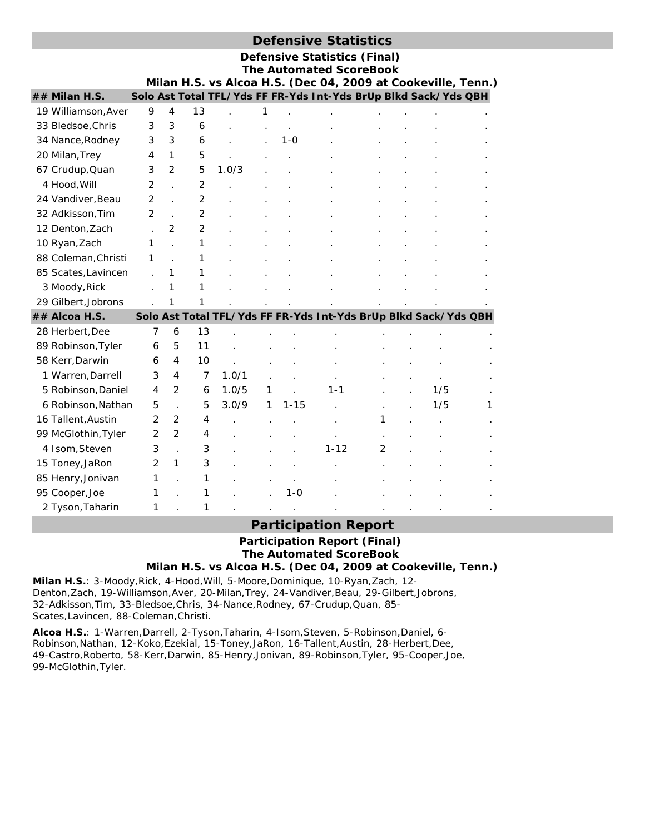|                     |   |                |    |       |        |                                   | <b>Defensive Statistics</b>                                           |   |        |     |   |
|---------------------|---|----------------|----|-------|--------|-----------------------------------|-----------------------------------------------------------------------|---|--------|-----|---|
|                     |   |                |    |       |        |                                   | <b>Defensive Statistics (Final)</b><br><b>The Automated ScoreBook</b> |   |        |     |   |
|                     |   |                |    |       |        |                                   | Milan H.S. vs Alcoa H.S. (Dec 04, 2009 at Cookeville, Tenn.)          |   |        |     |   |
| ## Milan H.S.       |   |                |    |       |        |                                   | Solo Ast Total TFL/Yds FF FR-Yds Int-Yds BrUp Blkd Sack/Yds QBH       |   |        |     |   |
| 19 Williamson, Aver | 9 | 4              | 13 |       | 1      |                                   |                                                                       |   |        |     |   |
| 33 Bledsoe, Chris   | 3 | 3              | 6  |       |        |                                   |                                                                       |   |        |     |   |
| 34 Nance, Rodney    | 3 | 3              | 6  |       |        | $1 - 0$                           |                                                                       |   |        |     |   |
| 20 Milan, Trey      | 4 | $\mathbf{1}$   | 5  |       |        |                                   |                                                                       |   |        |     |   |
| 67 Crudup, Quan     | 3 | 2              | 5  | 1.0/3 |        |                                   |                                                                       |   |        |     |   |
| 4 Hood, Will        | 2 |                | 2  |       |        |                                   |                                                                       |   |        |     |   |
| 24 Vandiver, Beau   | 2 |                | 2  |       |        |                                   |                                                                       |   |        |     |   |
| 32 Adkisson, Tim    | 2 | $\overline{a}$ | 2  |       |        |                                   |                                                                       |   |        |     |   |
| 12 Denton, Zach     |   | 2              | 2  |       |        |                                   |                                                                       |   |        |     |   |
| 10 Ryan, Zach       | 1 |                | 1  |       |        |                                   |                                                                       |   |        |     |   |
| 88 Coleman, Christi | 1 |                | 1  |       |        |                                   |                                                                       |   |        |     |   |
| 85 Scates, Lavincen |   | 1              | 1  |       |        |                                   |                                                                       |   |        |     |   |
| 3 Moody, Rick       |   | 1              | 1  |       |        |                                   |                                                                       |   |        |     |   |
| 29 Gilbert, Jobrons |   | 1              | 1  |       |        |                                   |                                                                       |   |        |     |   |
| ## Alcoa H.S.       |   |                |    |       |        |                                   | Solo Ast Total TFL/Yds FF FR-Yds Int-Yds BrUp Blkd Sack/Yds QBH       |   |        |     |   |
| 28 Herbert, Dee     | 7 | 6              | 13 |       |        |                                   |                                                                       |   |        |     |   |
| 89 Robinson, Tyler  | 6 | 5              | 11 |       |        |                                   |                                                                       |   |        |     |   |
| 58 Kerr, Darwin     | 6 | 4              | 10 |       |        |                                   |                                                                       |   |        |     |   |
| 1 Warren, Darrell   | 3 | 4              | 7  | 1.0/1 |        |                                   |                                                                       |   |        |     |   |
| 5 Robinson, Daniel  | 4 | $\mathcal{P}$  | 6  | 1.0/5 | 1      |                                   | 1-1                                                                   |   |        | 1/5 |   |
| 6 Robinson, Nathan  | 5 |                | 5  | 3.0/9 | 1      | $1 - 15$                          |                                                                       |   |        | 1/5 | 1 |
| 16 Tallent Austin   | 2 | $\overline{2}$ | 4  |       | $\sim$ | the company's company's company's |                                                                       | 1 | $\sim$ |     |   |

## **Participation Report**

# **Participation Report (Final) The Automated ScoreBook**

**Milan H.S. vs Alcoa H.S. (Dec 04, 2009 at Cookeville, Tenn.)**

**Milan H.S.**: 3-Moody,Rick, 4-Hood,Will, 5-Moore,Dominique, 10-Ryan,Zach, 12- Denton,Zach, 19-Williamson,Aver, 20-Milan,Trey, 24-Vandiver,Beau, 29-Gilbert,Jobrons, 32-Adkisson,Tim, 33-Bledsoe,Chris, 34-Nance,Rodney, 67-Crudup,Quan, 85- Scates,Lavincen, 88-Coleman,Christi.

4 Isom, Steven 3 . 3 . . . . 1-12 2 15 Toney,JaRon 2 1 3 . . . . . . . .

99 McGlothin, Tyler 2 2 4

85 Henry, Jonivan 1 . 1

2 Tyson, Taharin 1 . 1

95 Cooper, Joe **1** . 1 . . 1 . 1 - 0

**Alcoa H.S.**: 1-Warren,Darrell, 2-Tyson,Taharin, 4-Isom,Steven, 5-Robinson,Daniel, 6- Robinson,Nathan, 12-Koko,Ezekial, 15-Toney,JaRon, 16-Tallent,Austin, 28-Herbert,Dee, 49-Castro,Roberto, 58-Kerr,Darwin, 85-Henry,Jonivan, 89-Robinson,Tyler, 95-Cooper,Joe, 99-McGlothin,Tyler.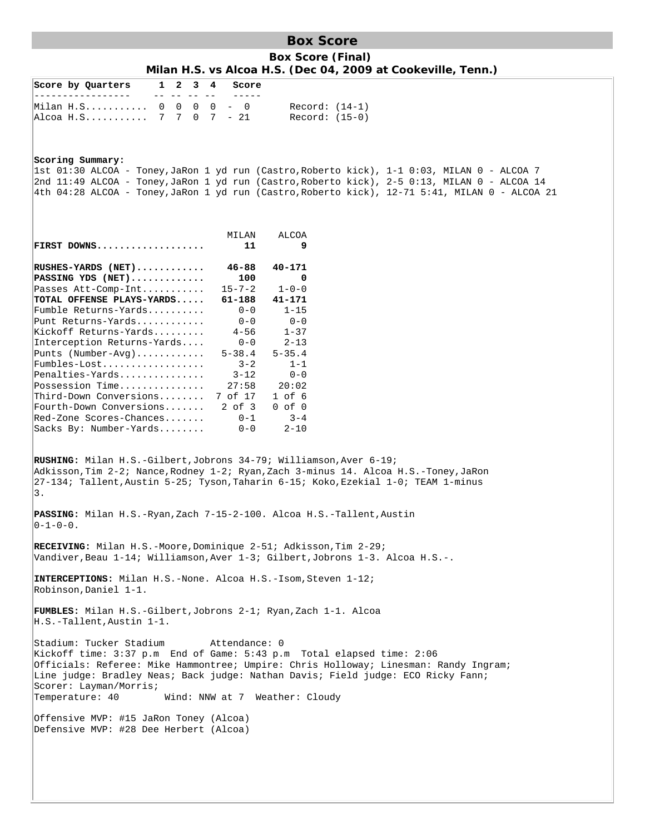**Box Score Box Score (Final) Milan H.S. vs Alcoa H.S. (Dec 04, 2009 at Cookeville, Tenn.)**

| Score by Quarters<br>1 2<br>34<br>Score                                                                                                                                                                                                                                                                                                                                      |
|------------------------------------------------------------------------------------------------------------------------------------------------------------------------------------------------------------------------------------------------------------------------------------------------------------------------------------------------------------------------------|
| $- -$<br>$0 \t 0 \t 0 \t - \t 0$<br>Milan H.S 0<br>$Record: (14-1)$<br>Alcoa H.S 7 7 0 7 - 21<br>$Record: (15-0)$                                                                                                                                                                                                                                                            |
| Scoring Summary:<br> lst 01:30 ALCOA - Toney,JaRon 1 yd run (Castro,Roberto kick), 1-1 0:03, MILAN 0 - ALCOA 7<br>2nd 11:49 ALCOA - Toney,JaRon 1 yd run (Castro,Roberto kick), 2-5 0:13, MILAN 0 - ALCOA 14<br>4th 04:28 ALCOA - Toney, JaRon 1 yd run (Castro, Roberto kick), 12-71 5:41, MILAN 0 - ALCOA 21                                                               |
| MILAN<br>ALCOA<br>FIRST DOWNS<br>9<br>11                                                                                                                                                                                                                                                                                                                                     |
| $RUSHES-YARDS$ (NET)<br>$46 - 88$<br>$40 - 171$<br>$PASSING YDS (NET)$<br>100<br>0<br>Passes Att-Comp-Int<br>$15 - 7 - 2$<br>$1 - 0 - 0$                                                                                                                                                                                                                                     |
| TOTAL OFFENSE PLAYS-YARDS<br>61-188<br>41-171<br>$0 - 0$<br>Fumble Returns-Yards<br>$1 - 15$<br>Punt Returns-Yards<br>$0 - 0$<br>$0 - 0$<br>Kickoff Returns-Yards<br>$4 - 56$<br>$1 - 37$                                                                                                                                                                                    |
| Interception Returns-Yards<br>$0 - 0$<br>$2 - 13$<br>Punts $(Number-Avq)$<br>$5 - 38.4$<br>$5 - 35.4$<br>Fumbles-Lost<br>$3 - 2$<br>$1 - 1$                                                                                                                                                                                                                                  |
| Penalties-Yards<br>$0 - 0$<br>$3 - 12$<br>Possession Time<br>27:58<br>20:02<br>Third-Down Conversions<br>7 of 17<br>$1$ of $6$<br>Fourth-Down Conversions<br>$2$ of $3$<br>$0$ of $0$                                                                                                                                                                                        |
| Red-Zone Scores-Chances<br>$0 - 1$<br>$3 - 4$<br>Sacks By: Number-Yards<br>$0 - 0$<br>$2 - 10$                                                                                                                                                                                                                                                                               |
| RUSHING: Milan H.S.-Gilbert, Jobrons 34-79; Williamson, Aver 6-19;<br>Adkisson,Tim 2-2; Nance,Rodney 1-2; Ryan,Zach 3-minus 14. Alcoa H.S.-Toney,JaRon<br>27-134; Tallent, Austin 5-25; Tyson, Taharin 6-15; Koko, Ezekial 1-0; TEAM 1-minus<br>3.                                                                                                                           |
| PASSING: Milan H.S.-Ryan, Zach 7-15-2-100. Alcoa H.S.-Tallent, Austin<br>$ 0-1-0-0$ .                                                                                                                                                                                                                                                                                        |
| RECEIVING: Milan H.S.-Moore, Dominique 2-51; Adkisson, Tim 2-29;<br>Vandiver, Beau 1-14; Williamson, Aver 1-3; Gilbert, Jobrons 1-3. Alcoa H.S.-.                                                                                                                                                                                                                            |
| INTERCEPTIONS: Milan H.S.-None. Alcoa H.S.-Isom, Steven 1-12;<br>Robinson, Daniel 1-1.                                                                                                                                                                                                                                                                                       |
| <b>FUMBLES:</b> Milan H.S.-Gilbert,Jobrons 2-1; Ryan,Zach 1-1. Alcoa<br>$H.S.-Tallent, Austin 1-1.$                                                                                                                                                                                                                                                                          |
| Stadium: Tucker Stadium<br>Attendance: 0<br>Kickoff time: 3:37 p.m End of Game: 5:43 p.m Total elapsed time: 2:06<br>Officials: Referee: Mike Hammontree; Umpire: Chris Holloway; Linesman: Randy Ingram;<br>Line judge: Bradley Neas; Back judge: Nathan Davis; Field judge: ECO Ricky Fann;<br>Scorer: Layman/Morris;<br>Temperature: 40<br>Wind: NNW at 7 Weather: Cloudy |
| Offensive MVP: #15 JaRon Toney (Alcoa)<br>Defensive MVP: #28 Dee Herbert (Alcoa)                                                                                                                                                                                                                                                                                             |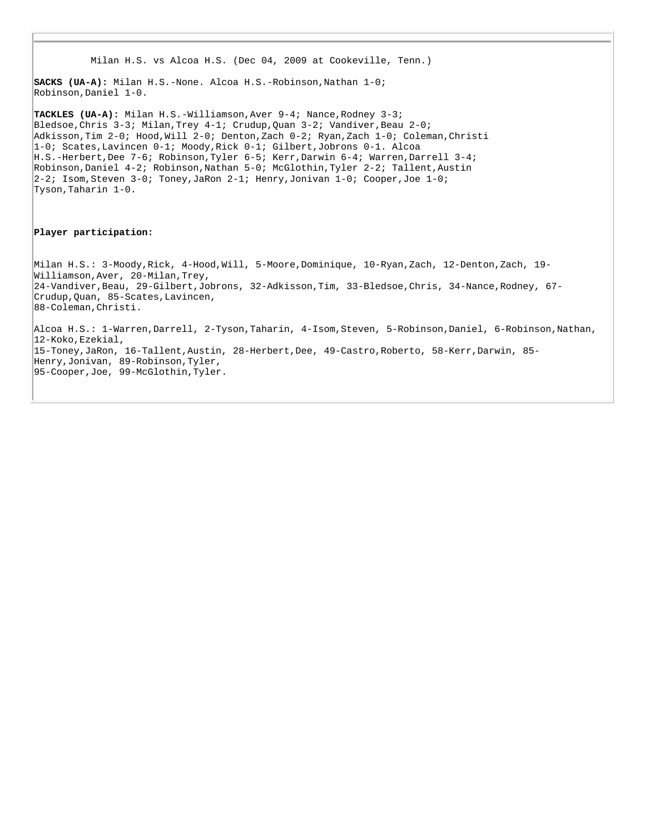```
 Milan H.S. vs Alcoa H.S. (Dec 04, 2009 at Cookeville, Tenn.) 
SACKS (UA-A): Milan H.S.-None. Alcoa H.S.-Robinson,Nathan 1-0; 
Robinson,Daniel 1-0. 
TACKLES (UA-A): Milan H.S.-Williamson,Aver 9-4; Nance,Rodney 3-3; 
Bledsoe, Chris 3-3; Milan, Trey 4-1; Crudup, Quan 3-2; Vandiver, Beau 2-0;
Adkisson,Tim 2-0; Hood,Will 2-0; Denton,Zach 0-2; Ryan,Zach 1-0; Coleman,Christi 
1-0; Scates,Lavincen 0-1; Moody,Rick 0-1; Gilbert,Jobrons 0-1. Alcoa 
H.S.-Herbert,Dee 7-6; Robinson,Tyler 6-5; Kerr,Darwin 6-4; Warren,Darrell 3-4; 
Robinson,Daniel 4-2; Robinson,Nathan 5-0; McGlothin,Tyler 2-2; Tallent,Austin 
2-2; Isom,Steven 3-0; Toney,JaRon 2-1; Henry,Jonivan 1-0; Cooper,Joe 1-0; 
Tyson,Taharin 1-0. 
Player participation:
Milan H.S.: 3-Moody,Rick, 4-Hood,Will, 5-Moore,Dominique, 10-Ryan,Zach, 12-Denton,Zach, 19-
Williamson,Aver, 20-Milan,Trey, 
24-Vandiver,Beau, 29-Gilbert,Jobrons, 32-Adkisson,Tim, 33-Bledsoe,Chris, 34-Nance,Rodney, 67-
Crudup,Quan, 85-Scates,Lavincen, 
88-Coleman,Christi. 
Alcoa H.S.: 1-Warren,Darrell, 2-Tyson,Taharin, 4-Isom,Steven, 5-Robinson,Daniel, 6-Robinson,Nathan, 
12-Koko,Ezekial, 
15-Toney,JaRon, 16-Tallent,Austin, 28-Herbert,Dee, 49-Castro,Roberto, 58-Kerr,Darwin, 85-
Henry,Jonivan, 89-Robinson,Tyler, 
95-Cooper,Joe, 99-McGlothin,Tyler.
```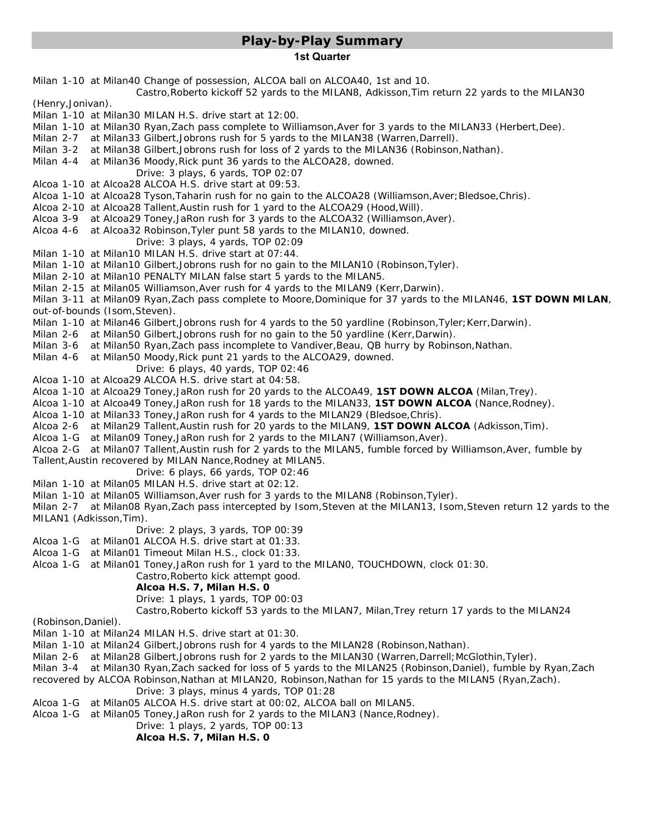# **Play-by-Play Summary**

#### **1st Quarter**

Milan 1-10 at Milan40 Change of possession, ALCOA ball on ALCOA40, 1st and 10. Castro,Roberto kickoff 52 yards to the MILAN8, Adkisson,Tim return 22 yards to the MILAN30 (Henry,Jonivan). Milan 1-10 at Milan30 MILAN H.S. drive start at 12:00. Milan 1-10 at Milan30 Ryan,Zach pass complete to Williamson,Aver for 3 yards to the MILAN33 (Herbert,Dee). Milan 2-7 at Milan33 Gilbert,Jobrons rush for 5 yards to the MILAN38 (Warren,Darrell). Milan 3-2 at Milan38 Gilbert,Jobrons rush for loss of 2 yards to the MILAN36 (Robinson,Nathan). Milan 4-4 at Milan36 Moody,Rick punt 36 yards to the ALCOA28, downed. Drive: 3 plays, 6 yards, TOP 02:07 Alcoa 1-10 at Alcoa28 ALCOA H.S. drive start at 09:53. Alcoa 1-10 at Alcoa28 Tyson,Taharin rush for no gain to the ALCOA28 (Williamson,Aver;Bledsoe,Chris). Alcoa 2-10 at Alcoa28 Tallent,Austin rush for 1 yard to the ALCOA29 (Hood,Will). Alcoa 3-9 at Alcoa29 Toney,JaRon rush for 3 yards to the ALCOA32 (Williamson,Aver). Alcoa 4-6 at Alcoa32 Robinson,Tyler punt 58 yards to the MILAN10, downed. Drive: 3 plays, 4 yards, TOP 02:09 Milan 1-10 at Milan10 MILAN H.S. drive start at 07:44. Milan 1-10 at Milan10 Gilbert,Jobrons rush for no gain to the MILAN10 (Robinson,Tyler). Milan 2-10 at Milan10 *PENALTY MILAN false start 5 yards to the MILAN5*. Milan 2-15 at Milan05 Williamson,Aver rush for 4 yards to the MILAN9 (Kerr,Darwin). Milan 3-11 at Milan09 Ryan, Zach pass complete to Moore, Dominique for 37 yards to the MILAN46, 1ST DOWN MILAN, out-of-bounds (Isom,Steven). Milan 1-10 at Milan46 Gilbert, Jobrons rush for 4 yards to the 50 yardline (Robinson, Tyler; Kerr, Darwin). Milan 2-6 at Milan50 Gilbert,Jobrons rush for no gain to the 50 yardline (Kerr,Darwin). Milan 3-6 at Milan50 Ryan, Zach pass incomplete to Vandiver, Beau, QB hurry by Robinson, Nathan. Milan 4-6 at Milan50 Moody,Rick punt 21 yards to the ALCOA29, downed. Drive: 6 plays, 40 yards, TOP 02:46 Alcoa 1-10 at Alcoa29 ALCOA H.S. drive start at 04:58. Alcoa 1-10 at Alcoa29 Toney,JaRon rush for 20 yards to the ALCOA49, **1ST DOWN ALCOA** (Milan,Trey). Alcoa 1-10 at Alcoa49 Toney,JaRon rush for 18 yards to the MILAN33, **1ST DOWN ALCOA** (Nance,Rodney). Alcoa 1-10 at Milan33 Toney,JaRon rush for 4 yards to the MILAN29 (Bledsoe,Chris). Alcoa 2-6 at Milan29 Tallent,Austin rush for 20 yards to the MILAN9, **1ST DOWN ALCOA** (Adkisson,Tim). Alcoa 1-G at Milan09 Toney,JaRon rush for 2 yards to the MILAN7 (Williamson,Aver). Alcoa 2-G at Milan07 Tallent,Austin rush for 2 yards to the MILAN5, fumble forced by Williamson,Aver, fumble by Tallent,Austin recovered by MILAN Nance,Rodney at MILAN5. Drive: 6 plays, 66 yards, TOP 02:46 Milan 1-10 at Milan05 MILAN H.S. drive start at 02:12. Milan 1-10 at Milan05 Williamson,Aver rush for 3 yards to the MILAN8 (Robinson,Tyler). Milan 2-7 at Milan08 Ryan,Zach pass intercepted by Isom,Steven at the MILAN13, Isom,Steven return 12 yards to the MILAN1 (Adkisson,Tim). Drive: 2 plays, 3 yards, TOP 00:39 Alcoa 1-G at Milan01 ALCOA H.S. drive start at 01:33. Alcoa 1-G at Milan01 Timeout Milan H.S., clock 01:33. Alcoa 1-G at Milan01 Toney,JaRon rush for 1 yard to the MILAN0, TOUCHDOWN, clock 01:30. Castro,Roberto kick attempt good. **Alcoa H.S. 7, Milan H.S. 0** Drive: 1 plays, 1 yards, TOP 00:03 Castro,Roberto kickoff 53 yards to the MILAN7, Milan,Trey return 17 yards to the MILAN24 (Robinson,Daniel). Milan 1-10 at Milan24 MILAN H.S. drive start at 01:30. Milan 1-10 at Milan24 Gilbert, Jobrons rush for 4 yards to the MILAN28 (Robinson, Nathan). Milan 2-6 at Milan28 Gilbert,Jobrons rush for 2 yards to the MILAN30 (Warren,Darrell;McGlothin,Tyler). Milan 3-4 at Milan30 Ryan,Zach sacked for loss of 5 yards to the MILAN25 (Robinson,Daniel), fumble by Ryan,Zach recovered by ALCOA Robinson, Nathan at MILAN20, Robinson, Nathan for 15 yards to the MILAN5 (Ryan, Zach). Drive: 3 plays, minus 4 yards, TOP 01:28 Alcoa 1-G at Milan05 ALCOA H.S. drive start at 00:02, ALCOA ball on MILAN5.

Alcoa 1-G at Milan05 Toney,JaRon rush for 2 yards to the MILAN3 (Nance,Rodney).

Drive: 1 plays, 2 yards, TOP 00:13

**Alcoa H.S. 7, Milan H.S. 0**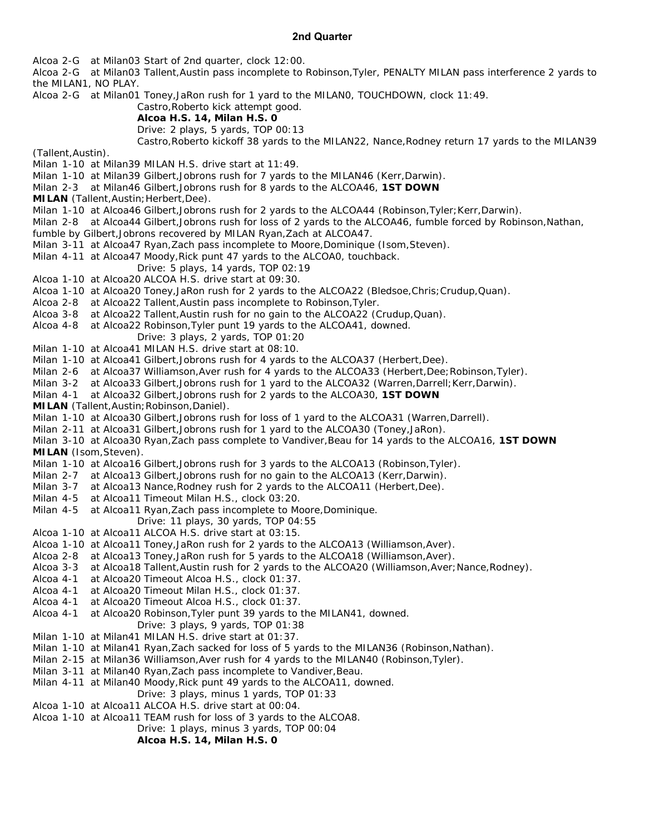#### **2nd Quarter**

Alcoa 2-G at Milan03 Start of 2nd quarter, clock 12:00.

Alcoa 2-G at Milan03 Tallent,Austin pass incomplete to Robinson,Tyler, *PENALTY MILAN pass interference 2 yards to the MILAN1*, NO PLAY.

Alcoa 2-G at Milan01 Toney,JaRon rush for 1 yard to the MILAN0, TOUCHDOWN, clock 11:49.

Castro,Roberto kick attempt good.

#### **Alcoa H.S. 14, Milan H.S. 0**

Drive: 2 plays, 5 yards, TOP 00:13

Castro,Roberto kickoff 38 yards to the MILAN22, Nance,Rodney return 17 yards to the MILAN39

(Tallent,Austin).

Milan 1-10 at Milan39 MILAN H.S. drive start at 11:49.

Milan 1-10 at Milan39 Gilbert,Jobrons rush for 7 yards to the MILAN46 (Kerr,Darwin).

- Milan 2-3 at Milan46 Gilbert,Jobrons rush for 8 yards to the ALCOA46, **1ST DOWN**
- **MILAN** (Tallent, Austin; Herbert, Dee).
- Milan 1-10 at Alcoa46 Gilbert, Jobrons rush for 2 yards to the ALCOA44 (Robinson, Tyler; Kerr, Darwin).

Milan 2-8 at Alcoa44 Gilbert,Jobrons rush for loss of 2 yards to the ALCOA46, fumble forced by Robinson,Nathan,

- fumble by Gilbert,Jobrons recovered by MILAN Ryan,Zach at ALCOA47.
- Milan 3-11 at Alcoa47 Ryan,Zach pass incomplete to Moore,Dominique (Isom,Steven).
- Milan 4-11 at Alcoa47 Moody,Rick punt 47 yards to the ALCOA0, touchback.
	- Drive: 5 plays, 14 yards, TOP 02:19
- Alcoa 1-10 at Alcoa20 ALCOA H.S. drive start at 09:30.
- Alcoa 1-10 at Alcoa20 Toney,JaRon rush for 2 yards to the ALCOA22 (Bledsoe,Chris;Crudup,Quan).
- Alcoa 2-8 at Alcoa22 Tallent,Austin pass incomplete to Robinson,Tyler.
- Alcoa 3-8 at Alcoa22 Tallent,Austin rush for no gain to the ALCOA22 (Crudup,Quan).
- Alcoa 4-8 at Alcoa22 Robinson,Tyler punt 19 yards to the ALCOA41, downed.
	- Drive: 3 plays, 2 yards, TOP 01:20
- Milan 1-10 at Alcoa41 MILAN H.S. drive start at 08:10.
- Milan 1-10 at Alcoa41 Gilbert,Jobrons rush for 4 yards to the ALCOA37 (Herbert,Dee).
- Milan 2-6 at Alcoa37 Williamson, Aver rush for 4 yards to the ALCOA33 (Herbert, Dee; Robinson, Tyler).<br>Milan 3-2 at Alcoa33 Gilbert, Jobrons rush for 1 yard to the ALCOA32 (Warren, Darrell; Kerr, Darwin).
- at Alcoa33 Gilbert,Jobrons rush for 1 yard to the ALCOA32 (Warren,Darrell;Kerr,Darwin).
- Milan 4-1 at Alcoa32 Gilbert,Jobrons rush for 2 yards to the ALCOA30, **1ST DOWN**

**MILAN** (Tallent,Austin;Robinson,Daniel).

- Milan 1-10 at Alcoa30 Gilbert,Jobrons rush for loss of 1 yard to the ALCOA31 (Warren,Darrell).
- Milan 2-11 at Alcoa31 Gilbert,Jobrons rush for 1 yard to the ALCOA30 (Toney,JaRon).
- Milan 3-10 at Alcoa30 Ryan,Zach pass complete to Vandiver,Beau for 14 yards to the ALCOA16, **1ST DOWN MILAN** (Isom,Steven).
- Milan 1-10 at Alcoa16 Gilbert,Jobrons rush for 3 yards to the ALCOA13 (Robinson,Tyler).
- Milan 2-7 at Alcoa13 Gilbert,Jobrons rush for no gain to the ALCOA13 (Kerr,Darwin).
- Milan 3-7 at Alcoa13 Nance,Rodney rush for 2 yards to the ALCOA11 (Herbert,Dee).
- Milan 4-5 at Alcoa11 Timeout Milan H.S., clock 03:20.
- Milan 4-5 at Alcoa11 Ryan,Zach pass incomplete to Moore,Dominique.
	- Drive: 11 plays, 30 yards, TOP 04:55
- Alcoa 1-10 at Alcoa11 ALCOA H.S. drive start at 03:15.
- Alcoa 1-10 at Alcoa11 Toney,JaRon rush for 2 yards to the ALCOA13 (Williamson,Aver).
- Alcoa 2-8 at Alcoa13 Toney,JaRon rush for 5 yards to the ALCOA18 (Williamson,Aver).
- Alcoa 3-3 at Alcoa18 Tallent, Austin rush for 2 yards to the ALCOA20 (Williamson, Aver; Nance, Rodney).
- Alcoa 4-1 at Alcoa20 Timeout Alcoa H.S., clock 01:37.
- Alcoa 4-1 at Alcoa20 Timeout Milan H.S., clock 01:37.
- Alcoa 4-1 at Alcoa20 Timeout Alcoa H.S., clock 01:37.
- Alcoa 4-1 at Alcoa20 Robinson,Tyler punt 39 yards to the MILAN41, downed. Drive: 3 plays, 9 yards, TOP 01:38
- Milan 1-10 at Milan41 MILAN H.S. drive start at 01:37.
- Milan 1-10 at Milan41 Ryan,Zach sacked for loss of 5 yards to the MILAN36 (Robinson,Nathan).
- Milan 2-15 at Milan36 Williamson,Aver rush for 4 yards to the MILAN40 (Robinson,Tyler).
- Milan 3-11 at Milan40 Ryan,Zach pass incomplete to Vandiver,Beau.
- Milan 4-11 at Milan40 Moody,Rick punt 49 yards to the ALCOA11, downed.
- Drive: 3 plays, minus 1 yards, TOP 01:33
- Alcoa 1-10 at Alcoa11 ALCOA H.S. drive start at 00:04.
- Alcoa 1-10 at Alcoa11 TEAM rush for loss of 3 yards to the ALCOA8.
	- Drive: 1 plays, minus 3 yards, TOP 00:04

**Alcoa H.S. 14, Milan H.S. 0**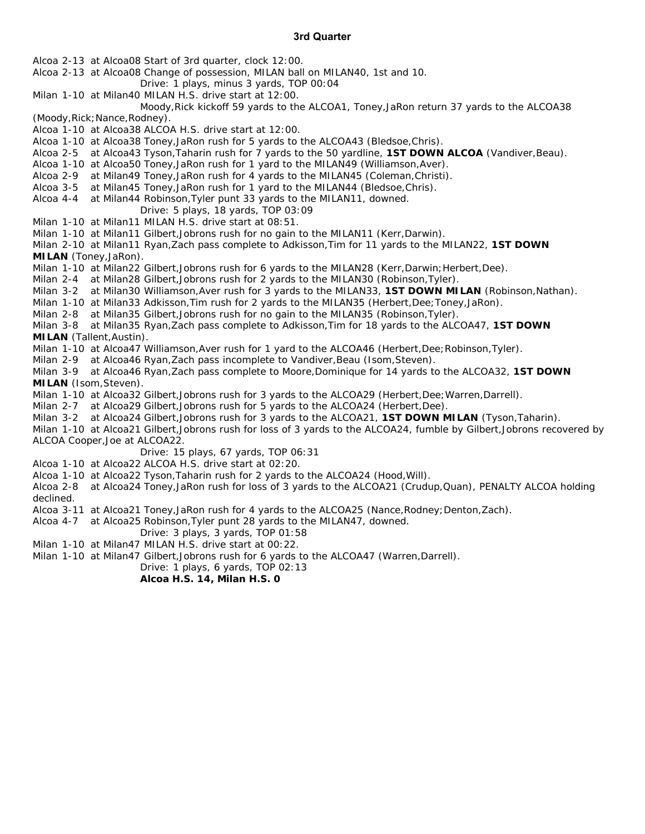#### **3rd Quarter**

Alcoa 2-13 at Alcoa08 Start of 3rd quarter, clock 12:00.

Alcoa 2-13 at Alcoa08 Change of possession, MILAN ball on MILAN40, 1st and 10.

- Drive: 1 plays, minus 3 yards, TOP 00:04
- Milan 1-10 at Milan40 MILAN H.S. drive start at 12:00.

 Moody,Rick kickoff 59 yards to the ALCOA1, Toney,JaRon return 37 yards to the ALCOA38 (Moody,Rick;Nance,Rodney).

Alcoa 1-10 at Alcoa38 ALCOA H.S. drive start at 12:00.

Alcoa 1-10 at Alcoa38 Toney,JaRon rush for 5 yards to the ALCOA43 (Bledsoe,Chris).

- Alcoa 2-5 at Alcoa43 Tyson,Taharin rush for 7 yards to the 50 yardline, **1ST DOWN ALCOA** (Vandiver,Beau).
- Alcoa 1-10 at Alcoa50 Toney,JaRon rush for 1 yard to the MILAN49 (Williamson,Aver).
- Alcoa 2-9 at Milan49 Toney,JaRon rush for 4 yards to the MILAN45 (Coleman,Christi).
- Alcoa 3-5 at Milan45 Toney,JaRon rush for 1 yard to the MILAN44 (Bledsoe,Chris).
- Alcoa 4-4 at Milan44 Robinson,Tyler punt 33 yards to the MILAN11, downed.
- Drive: 5 plays, 18 yards, TOP 03:09
- Milan 1-10 at Milan11 MILAN H.S. drive start at 08:51.
- Milan 1-10 at Milan11 Gilbert,Jobrons rush for no gain to the MILAN11 (Kerr,Darwin).
- Milan 2-10 at Milan11 Ryan,Zach pass complete to Adkisson,Tim for 11 yards to the MILAN22, **1ST DOWN MILAN** (Toney,JaRon).
- Milan 1-10 at Milan22 Gilbert, Jobrons rush for 6 yards to the MILAN28 (Kerr, Darwin; Herbert, Dee).
- Milan 2-4 at Milan28 Gilbert,Jobrons rush for 2 yards to the MILAN30 (Robinson,Tyler).
- Milan 3-2 at Milan30 Williamson,Aver rush for 3 yards to the MILAN33, **1ST DOWN MILAN** (Robinson,Nathan).
- Milan 1-10 at Milan33 Adkisson,Tim rush for 2 yards to the MILAN35 (Herbert,Dee;Toney,JaRon).
- Milan 2-8 at Milan35 Gilbert,Jobrons rush for no gain to the MILAN35 (Robinson,Tyler).
- Milan 3-8 at Milan35 Ryan,Zach pass complete to Adkisson,Tim for 18 yards to the ALCOA47, **1ST DOWN MILAN** (Tallent,Austin).
- Milan 1-10 at Alcoa47 Williamson, Aver rush for 1 yard to the ALCOA46 (Herbert, Dee; Robinson, Tyler).

Milan 2-9 at Alcoa46 Ryan, Zach pass incomplete to Vandiver, Beau (Isom, Steven).

Milan 3-9 at Alcoa46 Ryan,Zach pass complete to Moore,Dominique for 14 yards to the ALCOA32, **1ST DOWN MILAN** (Isom,Steven).

- Milan 1-10 at Alcoa32 Gilbert, Jobrons rush for 3 yards to the ALCOA29 (Herbert, Dee; Warren, Darrell).
- Milan 2-7 at Alcoa29 Gilbert,Jobrons rush for 5 yards to the ALCOA24 (Herbert,Dee).
- Milan 3-2 at Alcoa24 Gilbert,Jobrons rush for 3 yards to the ALCOA21, **1ST DOWN MILAN** (Tyson,Taharin).
- Milan 1-10 at Alcoa21 Gilbert,Jobrons rush for loss of 3 yards to the ALCOA24, fumble by Gilbert,Jobrons recovered by ALCOA Cooper,Joe at ALCOA22.
	- Drive: 15 plays, 67 yards, TOP 06:31
- Alcoa 1-10 at Alcoa22 ALCOA H.S. drive start at 02:20.
- Alcoa 1-10 at Alcoa22 Tyson,Taharin rush for 2 yards to the ALCOA24 (Hood,Will).
- Alcoa 2-8 at Alcoa24 Toney,JaRon rush for loss of 3 yards to the ALCOA21 (Crudup,Quan), *PENALTY ALCOA holding declined*.
- Alcoa 3-11 at Alcoa21 Toney, JaRon rush for 4 yards to the ALCOA25 (Nance, Rodney; Denton, Zach).
- Alcoa 4-7 at Alcoa25 Robinson,Tyler punt 28 yards to the MILAN47, downed.
	- Drive: 3 plays, 3 yards, TOP 01:58
- Milan 1-10 at Milan47 MILAN H.S. drive start at 00:22.

Milan 1-10 at Milan47 Gilbert,Jobrons rush for 6 yards to the ALCOA47 (Warren,Darrell).

Drive: 1 plays, 6 yards, TOP 02:13

**Alcoa H.S. 14, Milan H.S. 0**